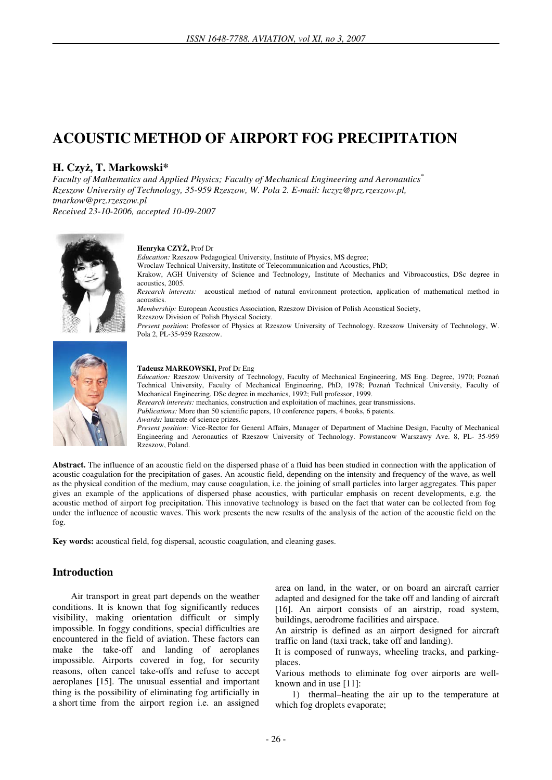# **ACOUSTIC METHOD OF AIRPORT FOG PRECIPITATION**

## **H. Czy**ż**, T. Markowski\***

*Faculty of Mathematics and Applied Physics; Faculty of Mechanical Engineering and Aeronautics\* Rzeszow University of Technology, 35-959 Rzeszow, W. Pola 2. E-mail: hczyz@prz.rzeszow.pl, tmarkow@prz.rzeszow.pl* 

*Received 23-10-2006, accepted 10-09-2007* 



#### **Henryka CZY**Ż**,** Prof Dr

*Education:* Rzeszow Pedagogical University, Institute of Physics, MS degree;

Wroclaw Technical University, Institute of Telecommunication and Acoustics, PhD;

Krakow, AGH University of Science and Technology, Institute of Mechanics and Vibroacoustics, DSc degree in acoustics, 2005.

*Research interests:* acoustical method of natural environment protection, application of mathematical method in acoustics.

*Membership:* European Acoustics Association, Rzeszow Division of Polish Acoustical Society, Rzeszow Division of Polish Physical Society.

*Present position*: Professor of Physics at Rzeszow University of Technology. Rzeszow University of Technology, W. Pola 2, PL-35-959 Rzeszow.



#### **Tadeusz MARKOWSKI,** Prof Dr Eng

*Education:* Rzeszow University of Technology, Faculty of Mechanical Engineering, MS Eng. Degree, 1970; Poznań Technical University, Faculty of Mechanical Engineering, PhD, 1978; Poznań Technical University, Faculty of Mechanical Engineering, DSc degree in mechanics, 1992; Full professor, 1999.

*Research interests:* mechanics, construction and exploitation of machines, gear transmissions.

*Publications:* More than 50 scientific papers, 10 conference papers, 4 books, 6 patents.

*Awards:* laureate of science prizes.

*Present position:* Vice-Rector for General Affairs, Manager of Department of Machine Design, Faculty of Mechanical Engineering and Aeronautics of Rzeszow University of Technology. Powstancow Warszawy Ave. 8, PL- 35-959 Rzeszow, Poland.

**Abstract.** The influence of an acoustic field on the dispersed phase of a fluid has been studied in connection with the application of acoustic coagulation for the precipitation of gases. An acoustic field, depending on the intensity and frequency of the wave, as well as the physical condition of the medium, may cause coagulation, i.e. the joining of small particles into larger aggregates. This paper gives an example of the applications of dispersed phase acoustics, with particular emphasis on recent developments, e.g. the acoustic method of airport fog precipitation. This innovative technology is based on the fact that water can be collected from fog under the influence of acoustic waves. This work presents the new results of the analysis of the action of the acoustic field on the fog.

**Key words:** acoustical field, fog dispersal, acoustic coagulation, and cleaning gases.

## **Introduction**

Air transport in great part depends on the weather conditions. It is known that fog significantly reduces visibility, making orientation difficult or simply impossible. In foggy conditions, special difficulties are encountered in the field of aviation. These factors can make the take-off and landing of aeroplanes impossible. Airports covered in fog, for security reasons, often cancel take-offs and refuse to accept aeroplanes [15]. The unusual essential and important thing is the possibility of eliminating fog artificially in a short time from the airport region i.e. an assigned

area on land, in the water, or on board an aircraft carrier adapted and designed for the take off and landing of aircraft [16]. An airport consists of an airstrip, road system, buildings, aerodrome facilities and airspace.

An airstrip is defined as an airport designed for aircraft traffic on land (taxi track, take off and landing).

It is composed of runways, wheeling tracks, and parkingplaces.

Various methods to eliminate fog over airports are wellknown and in use [11]:

1) thermal–heating the air up to the temperature at which fog droplets evaporate;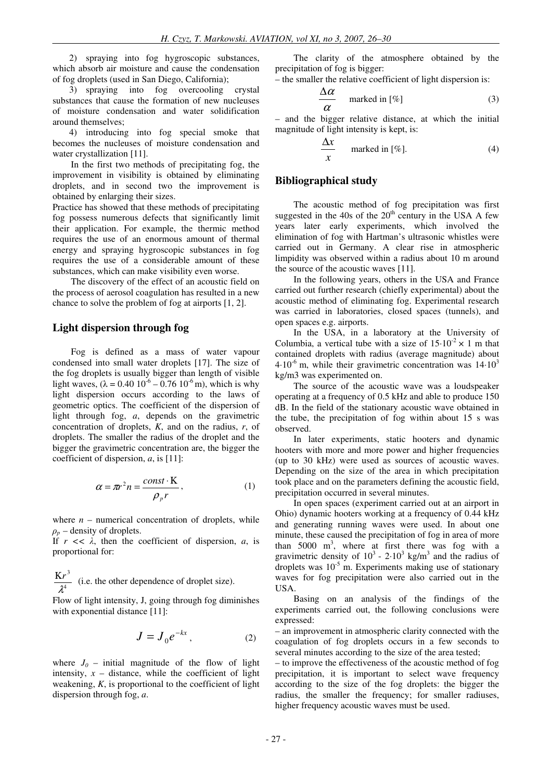2) spraying into fog hygroscopic substances, which absorb air moisture and cause the condensation of fog droplets (used in San Diego, California);

3) spraying into fog overcooling crystal substances that cause the formation of new nucleuses of moisture condensation and water solidification around themselves;

4) introducing into fog special smoke that becomes the nucleuses of moisture condensation and water crystallization [11].

In the first two methods of precipitating fog, the improvement in visibility is obtained by eliminating droplets, and in second two the improvement is obtained by enlarging their sizes.

Practice has showed that these methods of precipitating fog possess numerous defects that significantly limit their application. For example, the thermic method requires the use of an enormous amount of thermal energy and spraying hygroscopic substances in fog requires the use of a considerable amount of these substances, which can make visibility even worse.

The discovery of the effect of an acoustic field on the process of aerosol coagulation has resulted in a new chance to solve the problem of fog at airports [1, 2].

### **Light dispersion through fog**

Fog is defined as a mass of water vapour condensed into small water droplets [17]. The size of the fog droplets is usually bigger than length of visible light waves,  $(\lambda = 0.40 \, 10^{-6} - 0.76 \, 10^{-6} \, \text{m})$ , which is why light dispersion occurs according to the laws of geometric optics. The coefficient of the dispersion of light through fog, *a*, depends on the gravimetric concentration of droplets, *K*, and on the radius, *r*, of droplets. The smaller the radius of the droplet and the bigger the gravimetric concentration are, the bigger the coefficient of dispersion, *a*, is [11]:

$$
\alpha = \pi r^2 n = \frac{\text{const} \cdot \text{K}}{\rho_p r},\tag{1}
$$

where  $n$  – numerical concentration of droplets, while  $\rho_p$  – density of droplets.

If  $r \ll \lambda$ , then the coefficient of dispersion, *a*, is proportional for:

4 3  $\mathcal{\lambda}^{\scriptscriptstyle\mathcal{A}}$  $\frac{Kr^3}{Ar^2}$  (i.e. the other dependence of droplet size).

Flow of light intensity, J, going through fog diminishes with exponential distance [11]:

$$
J = J_0 e^{-kx}, \qquad (2)
$$

where  $J_0$  – initial magnitude of the flow of light intensity,  $x -$  distance, while the coefficient of light weakening, *K*, is proportional to the coefficient of light dispersion through fog, *a*.

The clarity of the atmosphere obtained by the precipitation of fog is bigger:

– the smaller the relative coefficient of light dispersion is:

$$
\frac{\Delta \alpha}{\alpha} \quad \text{marked in [%]} \tag{3}
$$

– and the bigger relative distance, at which the initial magnitude of light intensity is kept, is:

$$
\frac{\Delta x}{x} \qquad \text{marked in [%]}.
$$
 (4)

#### **Bibliographical study**

The acoustic method of fog precipitation was first suggested in the 40s of the  $20<sup>th</sup>$  century in the USA A few years later early experiments, which involved the elimination of fog with Hartman's ultrasonic whistles were carried out in Germany. A clear rise in atmospheric limpidity was observed within a radius about 10 m around the source of the acoustic waves [11].

In the following years, others in the USA and France carried out further research (chiefly experimental) about the acoustic method of eliminating fog. Experimental research was carried in laboratories, closed spaces (tunnels), and open spaces e.g. airports.

In the USA, in a laboratory at the University of Columbia, a vertical tube with a size of  $15.10^{-2} \times 1$  m that contained droplets with radius (average magnitude) about  $4.10^{-6}$  m, while their gravimetric concentration was  $14.10^{3}$ kg/m3 was experimented on.

The source of the acoustic wave was a loudspeaker operating at a frequency of 0.5 kHz and able to produce 150 dB. In the field of the stationary acoustic wave obtained in the tube, the precipitation of fog within about 15 s was observed.

In later experiments, static hooters and dynamic hooters with more and more power and higher frequencies (up to 30 kHz) were used as sources of acoustic waves. Depending on the size of the area in which precipitation took place and on the parameters defining the acoustic field, precipitation occurred in several minutes.

In open spaces (experiment carried out at an airport in Ohio) dynamic hooters working at a frequency of 0.44 kHz and generating running waves were used. In about one minute, these caused the precipitation of fog in area of more than  $5000 \text{ m}^3$ , where at first there was fog with a gravimetric density of  $10^3$  - 2·10<sup>3</sup> kg/m<sup>3</sup> and the radius of droplets was  $10^{-5}$  m. Experiments making use of stationary waves for fog precipitation were also carried out in the USA.

Basing on an analysis of the findings of the experiments carried out, the following conclusions were expressed:

– an improvement in atmospheric clarity connected with the coagulation of fog droplets occurs in a few seconds to several minutes according to the size of the area tested;

– to improve the effectiveness of the acoustic method of fog precipitation, it is important to select wave frequency according to the size of the fog droplets: the bigger the radius, the smaller the frequency; for smaller radiuses, higher frequency acoustic waves must be used.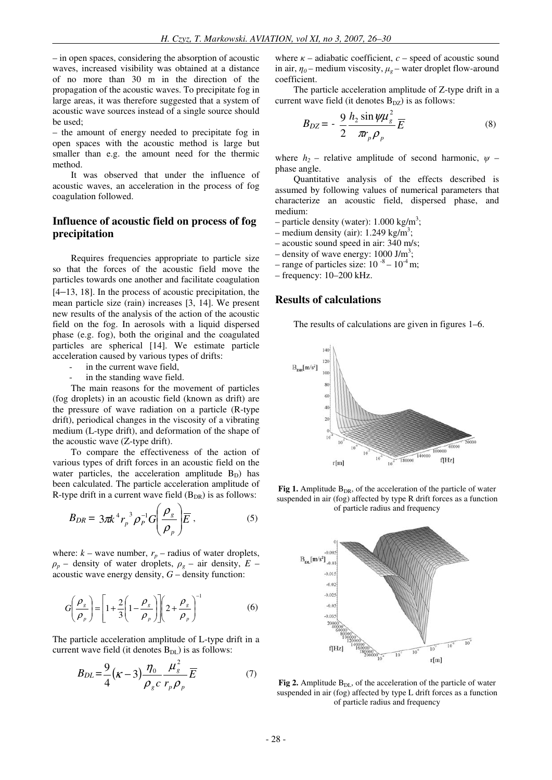– in open spaces, considering the absorption of acoustic waves, increased visibility was obtained at a distance of no more than 30 m in the direction of the propagation of the acoustic waves. To precipitate fog in large areas, it was therefore suggested that a system of acoustic wave sources instead of a single source should be used;

– the amount of energy needed to precipitate fog in open spaces with the acoustic method is large but smaller than e.g. the amount need for the thermic method.

It was observed that under the influence of acoustic waves, an acceleration in the process of fog coagulation followed.

## **Influence of acoustic field on process of fog precipitation**

Requires frequencies appropriate to particle size so that the forces of the acoustic field move the particles towards one another and facilitate coagulation [4–13, 18]. In the process of acoustic precipitation, the mean particle size (rain) increases [3, 14]. We present new results of the analysis of the action of the acoustic field on the fog. In aerosols with a liquid dispersed phase (e.g. fog), both the original and the coagulated particles are spherical [14]. We estimate particle acceleration caused by various types of drifts:

- in the current wave field,
- in the standing wave field.

The main reasons for the movement of particles (fog droplets) in an acoustic field (known as drift) are the pressure of wave radiation on a particle (R-type drift), periodical changes in the viscosity of a vibrating medium (L-type drift), and deformation of the shape of the acoustic wave (Z-type drift).

To compare the effectiveness of the action of various types of drift forces in an acoustic field on the water particles, the acceleration amplitude  $B_D$ ) has been calculated. The particle acceleration amplitude of R-type drift in a current wave field  $(B_{DR})$  is as follows:

$$
B_{DR} = 3\pi k^4 r_p^3 \rho_P^{-1} G \left(\frac{\rho_g}{\rho_p}\right) \overline{E} \,, \tag{5}
$$

where:  $k$  – wave number,  $r_p$  – radius of water droplets,  $\rho_p$  – density of water droplets,  $\rho_q$  – air density, *E* – acoustic wave energy density, *G* – density function:

$$
G\left(\frac{\rho_s}{\rho_p}\right) = \left[1 + \frac{2}{3}\left(1 - \frac{\rho_s}{\rho_p}\right)\right]\left(2 + \frac{\rho_s}{\rho_p}\right)^{-1}
$$
(6)

The particle acceleration amplitude of L-type drift in a current wave field (it denotes  $B_{DL}$ ) is as follows:

$$
B_{DL} = \frac{9}{4} \left( \kappa - 3 \right) \frac{\eta_0}{\rho_g c} \frac{\mu_g^2}{r_p \rho_p} \overline{E}
$$
 (7)

where  $\kappa$  – adiabatic coefficient,  $c$  – speed of acoustic sound in air,  $\eta_0$  – medium viscosity,  $\mu_g$  – water droplet flow-around coefficient.

The particle acceleration amplitude of Z-type drift in a current wave field (it denotes  $B_{DZ}$ ) is as follows:

$$
B_{DZ} = -\frac{9}{2} \frac{h_2 \sin \psi \mu_s^2}{\pi r_p \rho_p} \overline{E}
$$
 (8)

where  $h_2$  – relative amplitude of second harmonic,  $\psi$  – phase angle.

Quantitative analysis of the effects described is assumed by following values of numerical parameters that characterize an acoustic field, dispersed phase, and medium:

- particle density (water):  $1.000 \text{ kg/m}^3$ ;
- medium density (air):  $1.249 \text{ kg/m}^3$ ;
- acoustic sound speed in air: 340 m/s;
- $-$  density of wave energy: 1000 J/m<sup>3</sup>;
- range of particles size:  $10^{-8}$   $10^{-4}$  m;
- frequency: 10–200 kHz.

## **Results of calculations**

The results of calculations are given in figures 1–6.



**Fig 1.** Amplitude  $B_{DR}$ , of the acceleration of the particle of water suspended in air (fog) affected by type R drift forces as a function of particle radius and frequency



Fig 2. Amplitude B<sub>DL</sub>, of the acceleration of the particle of water suspended in air (fog) affected by type L drift forces as a function of particle radius and frequency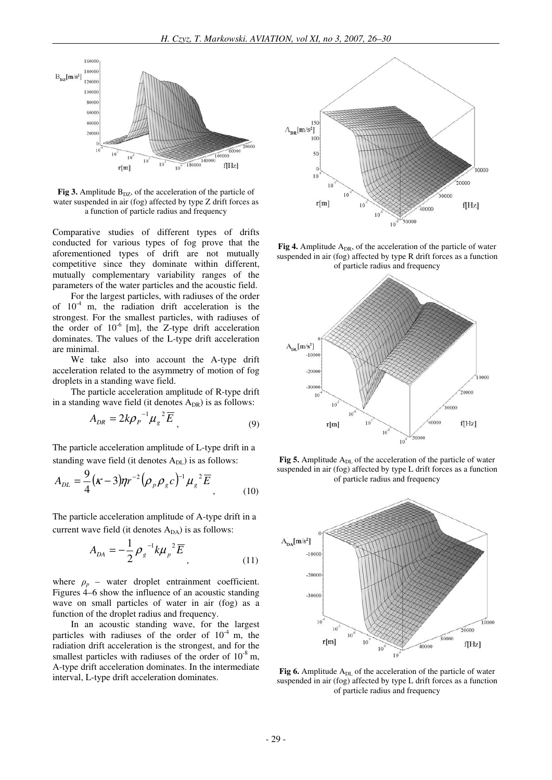

**Fig 3.** Amplitude  $B_{DZ}$ , of the acceleration of the particle of water suspended in air (fog) affected by type Z drift forces as a function of particle radius and frequency

Comparative studies of different types of drifts conducted for various types of fog prove that the aforementioned types of drift are not mutually competitive since they dominate within different, mutually complementary variability ranges of the parameters of the water particles and the acoustic field.

For the largest particles, with radiuses of the order of  $10^{-4}$  m, the radiation drift acceleration is the strongest. For the smallest particles, with radiuses of the order of  $10^{-6}$  [m], the Z-type drift acceleration dominates. The values of the L-type drift acceleration are minimal.

We take also into account the A-type drift acceleration related to the asymmetry of motion of fog droplets in a standing wave field.

The particle acceleration amplitude of R-type drift in a standing wave field (it denotes  $A_{DR}$ ) is as follows:

$$
A_{DR} = 2k\rho_p^{-1} \mu_g^2 \overline{E}_g
$$
 (9)

The particle acceleration amplitude of L-type drift in a standing wave field (it denotes  $A_{DL}$ ) is as follows:

$$
A_{DL} = \frac{9}{4} (\kappa - 3) \eta r^{-2} (\rho_p \rho_g c)^{-1} \mu_g^2 \overline{E}_1
$$
 (10)

The particle acceleration amplitude of A-type drift in a current wave field (it denotes  $A_{DA}$ ) is as follows:

$$
A_{DA} = -\frac{1}{2} \rho_g^{-1} k \mu_p^2 \overline{E}_g
$$
 (11)

where  $\rho_p$  – water droplet entrainment coefficient. Figures 4–6 show the influence of an acoustic standing wave on small particles of water in air (fog) as a function of the droplet radius and frequency.

In an acoustic standing wave, for the largest particles with radiuses of the order of  $10^{-4}$  m, the radiation drift acceleration is the strongest, and for the smallest particles with radiuses of the order of  $10^{-8}$  m, A-type drift acceleration dominates. In the intermediate interval, L-type drift acceleration dominates.



**Fig 4.** Amplitude  $A_{DR}$ , of the acceleration of the particle of water suspended in air (fog) affected by type R drift forces as a function of particle radius and frequency



Fig 5. Amplitude A<sub>DL</sub> of the acceleration of the particle of water suspended in air (fog) affected by type L drift forces as a function of particle radius and frequency



Fig 6. Amplitude A<sub>DL</sub> of the acceleration of the particle of water suspended in air (fog) affected by type L drift forces as a function of particle radius and frequency